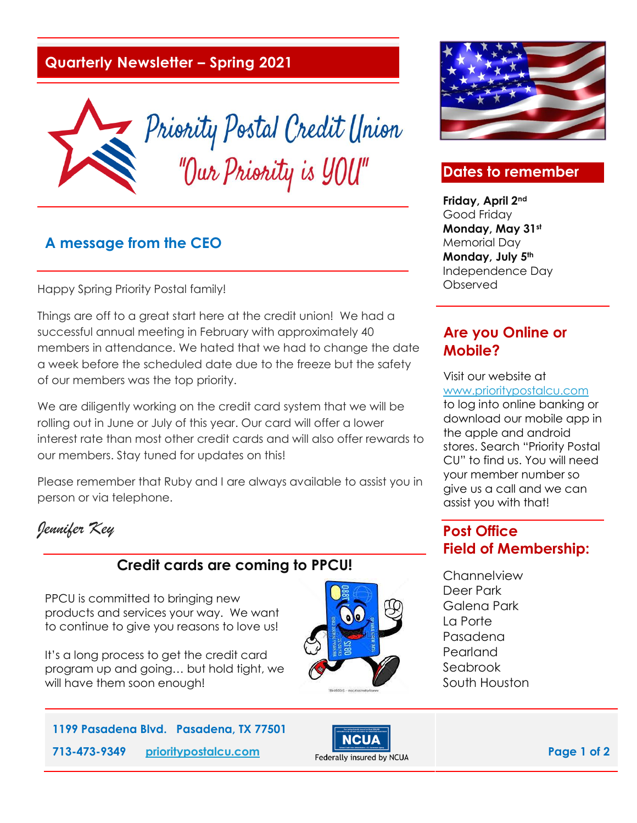## **Quarterly Newsletter – Spring 2021**



#### **A message from the CEO**

Happy Spring Priority Postal family!

Things are off to a great start here at the credit union! We had a successful annual meeting in February with approximately 40 members in attendance. We hated that we had to change the date a week before the scheduled date due to the freeze but the safety of our members was the top priority.

We are diligently working on the credit card system that we will be rolling out in June or July of this year. Our card will offer a lower interest rate than most other credit cards and will also offer rewards to our members. Stay tuned for updates on this!

Please remember that Ruby and I are always available to assist you in person or via telephone.

*Jennifer Key* 

### **Credit cards are coming to PPCU!**

PPCU is committed to bringing new products and services your way. We want to continue to give you reasons to love us!

It's a long process to get the credit card program up and going… but hold tight, we will have them soon enough!





#### **Dates to remember**

**Friday, April 2nd** Good Friday **Monday, May 31st** Memorial Day **Monday, July 5th** Independence Day Observed

### **Are you Online or Mobile?**

Visit our website at [www.prioritypostalcu.com](http://www.prioritypostalcu.com/) to log into online banking or download our mobile app in the apple and android stores. Search "Priority Postal CU" to find us. You will need your member number so give us a call and we can assist you with that!

## **Post Office Field of Membership:**

**Channelview** Deer Park Galena Park La Porte Pasadena Pearland Seabrook South Houston

**1199 Pasadena Blvd. Pasadena, TX 77501 713-473-9349 prioritypostalcu.com Page 1 of 2 Page 1 of 2**